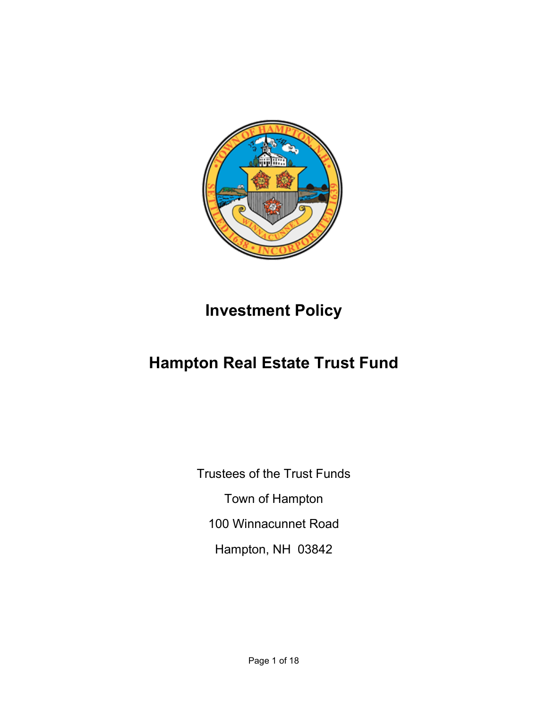

# Investment Policy

# Hampton Real Estate Trust Fund

Trustees of the Trust Funds Town of Hampton 100 Winnacunnet Road Hampton, NH 03842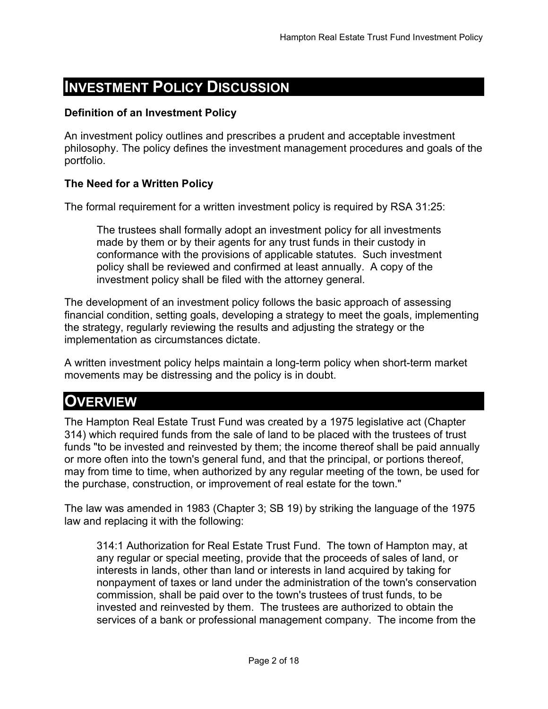# INVESTMENT POLICY DISCUSSION

### Definition of an Investment Policy

An investment policy outlines and prescribes a prudent and acceptable investment philosophy. The policy defines the investment management procedures and goals of the portfolio.

### The Need for a Written Policy

The formal requirement for a written investment policy is required by RSA 31:25:

The trustees shall formally adopt an investment policy for all investments made by them or by their agents for any trust funds in their custody in conformance with the provisions of applicable statutes. Such investment policy shall be reviewed and confirmed at least annually. A copy of the investment policy shall be filed with the attorney general.

The development of an investment policy follows the basic approach of assessing financial condition, setting goals, developing a strategy to meet the goals, implementing the strategy, regularly reviewing the results and adjusting the strategy or the implementation as circumstances dictate.

A written investment policy helps maintain a long-term policy when short-term market movements may be distressing and the policy is in doubt.

### **OVERVIEW**

The Hampton Real Estate Trust Fund was created by a 1975 legislative act (Chapter 314) which required funds from the sale of land to be placed with the trustees of trust funds "to be invested and reinvested by them; the income thereof shall be paid annually or more often into the town's general fund, and that the principal, or portions thereof, may from time to time, when authorized by any regular meeting of the town, be used for the purchase, construction, or improvement of real estate for the town."

The law was amended in 1983 (Chapter 3; SB 19) by striking the language of the 1975 law and replacing it with the following:

314:1 Authorization for Real Estate Trust Fund. The town of Hampton may, at any regular or special meeting, provide that the proceeds of sales of land, or interests in lands, other than land or interests in land acquired by taking for nonpayment of taxes or land under the administration of the town's conservation commission, shall be paid over to the town's trustees of trust funds, to be invested and reinvested by them. The trustees are authorized to obtain the services of a bank or professional management company. The income from the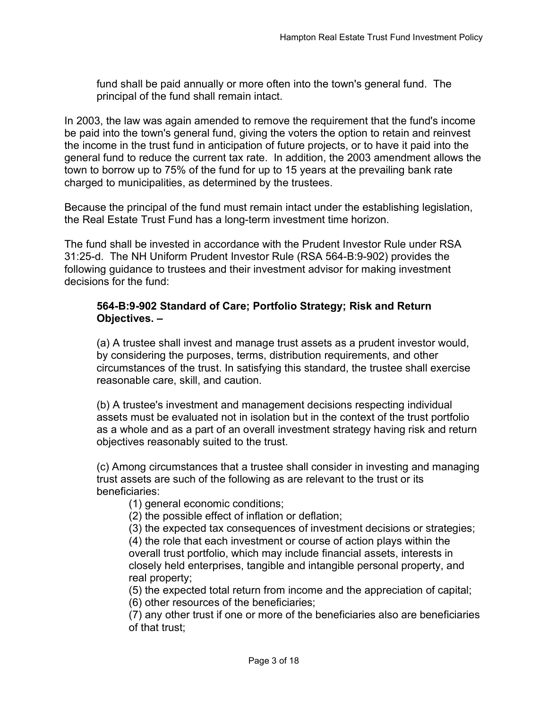fund shall be paid annually or more often into the town's general fund. The principal of the fund shall remain intact.

In 2003, the law was again amended to remove the requirement that the fund's income be paid into the town's general fund, giving the voters the option to retain and reinvest the income in the trust fund in anticipation of future projects, or to have it paid into the general fund to reduce the current tax rate. In addition, the 2003 amendment allows the town to borrow up to 75% of the fund for up to 15 years at the prevailing bank rate charged to municipalities, as determined by the trustees.

Because the principal of the fund must remain intact under the establishing legislation, the Real Estate Trust Fund has a long-term investment time horizon.

The fund shall be invested in accordance with the Prudent Investor Rule under RSA 31:25-d. The NH Uniform Prudent Investor Rule (RSA 564-B:9-902) provides the following guidance to trustees and their investment advisor for making investment decisions for the fund:

### 564-B:9-902 Standard of Care; Portfolio Strategy; Risk and Return Objectives. –

(a) A trustee shall invest and manage trust assets as a prudent investor would, by considering the purposes, terms, distribution requirements, and other circumstances of the trust. In satisfying this standard, the trustee shall exercise reasonable care, skill, and caution.

(b) A trustee's investment and management decisions respecting individual assets must be evaluated not in isolation but in the context of the trust portfolio as a whole and as a part of an overall investment strategy having risk and return objectives reasonably suited to the trust.

(c) Among circumstances that a trustee shall consider in investing and managing trust assets are such of the following as are relevant to the trust or its beneficiaries:

(1) general economic conditions;

(2) the possible effect of inflation or deflation;

(3) the expected tax consequences of investment decisions or strategies;

(4) the role that each investment or course of action plays within the overall trust portfolio, which may include financial assets, interests in closely held enterprises, tangible and intangible personal property, and real property;

(5) the expected total return from income and the appreciation of capital; (6) other resources of the beneficiaries;

(7) any other trust if one or more of the beneficiaries also are beneficiaries of that trust;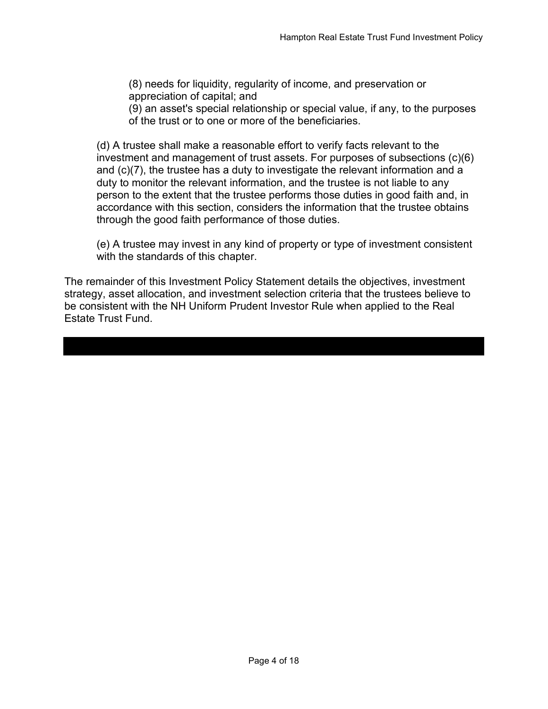(8) needs for liquidity, regularity of income, and preservation or appreciation of capital; and

(9) an asset's special relationship or special value, if any, to the purposes of the trust or to one or more of the beneficiaries.

(d) A trustee shall make a reasonable effort to verify facts relevant to the investment and management of trust assets. For purposes of subsections (c)(6) and (c)(7), the trustee has a duty to investigate the relevant information and a duty to monitor the relevant information, and the trustee is not liable to any person to the extent that the trustee performs those duties in good faith and, in accordance with this section, considers the information that the trustee obtains through the good faith performance of those duties.

(e) A trustee may invest in any kind of property or type of investment consistent with the standards of this chapter.

The remainder of this Investment Policy Statement details the objectives, investment strategy, asset allocation, and investment selection criteria that the trustees believe to be consistent with the NH Uniform Prudent Investor Rule when applied to the Real Estate Trust Fund.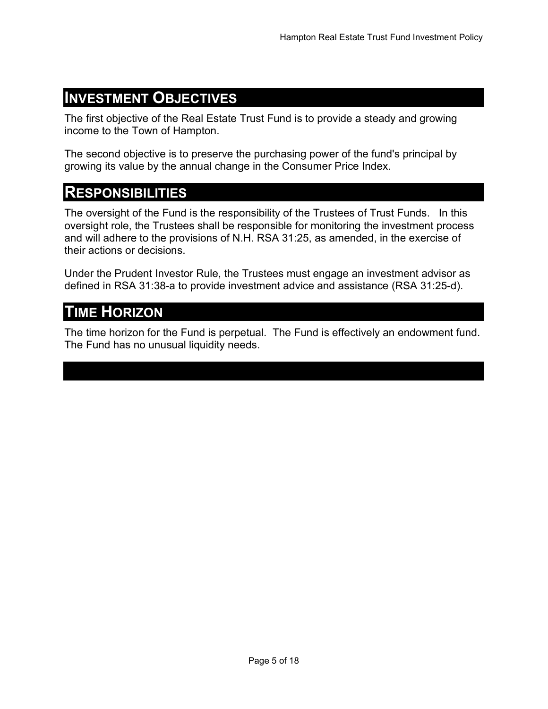### INVESTMENT OBJECTIVES

The first objective of the Real Estate Trust Fund is to provide a steady and growing income to the Town of Hampton.

The second objective is to preserve the purchasing power of the fund's principal by growing its value by the annual change in the Consumer Price Index.

### **RESPONSIBILITIES**

The oversight of the Fund is the responsibility of the Trustees of Trust Funds. In this oversight role, the Trustees shall be responsible for monitoring the investment process and will adhere to the provisions of N.H. RSA 31:25, as amended, in the exercise of their actions or decisions.

Under the Prudent Investor Rule, the Trustees must engage an investment advisor as defined in RSA 31:38-a to provide investment advice and assistance (RSA 31:25-d).

# **TIME HORIZON**

The time horizon for the Fund is perpetual. The Fund is effectively an endowment fund. The Fund has no unusual liquidity needs.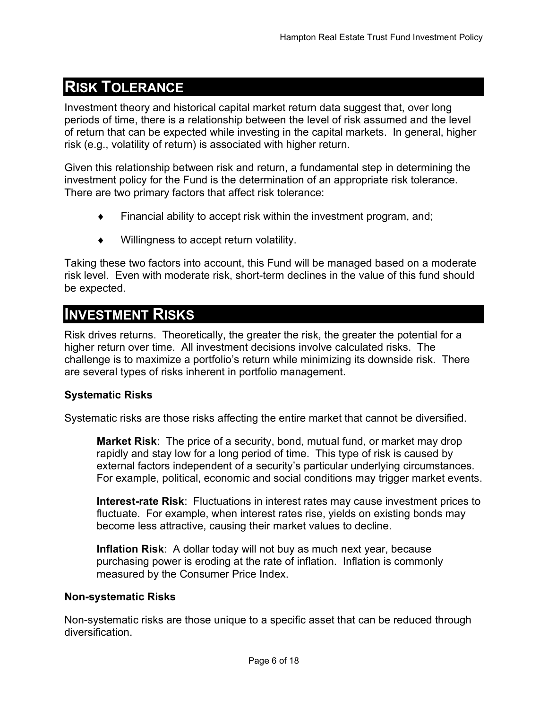# RISK TOLERANCE

Investment theory and historical capital market return data suggest that, over long periods of time, there is a relationship between the level of risk assumed and the level of return that can be expected while investing in the capital markets. In general, higher risk (e.g., volatility of return) is associated with higher return.

Given this relationship between risk and return, a fundamental step in determining the investment policy for the Fund is the determination of an appropriate risk tolerance. There are two primary factors that affect risk tolerance:

- Financial ability to accept risk within the investment program, and;
- Willingness to accept return volatility.

Taking these two factors into account, this Fund will be managed based on a moderate risk level. Even with moderate risk, short-term declines in the value of this fund should be expected.

### INVESTMENT RISKS

Risk drives returns. Theoretically, the greater the risk, the greater the potential for a higher return over time. All investment decisions involve calculated risks. The challenge is to maximize a portfolio's return while minimizing its downside risk. There are several types of risks inherent in portfolio management.

### Systematic Risks

Systematic risks are those risks affecting the entire market that cannot be diversified.

**Market Risk:** The price of a security, bond, mutual fund, or market may drop rapidly and stay low for a long period of time. This type of risk is caused by external factors independent of a security's particular underlying circumstances. For example, political, economic and social conditions may trigger market events.

Interest-rate Risk: Fluctuations in interest rates may cause investment prices to fluctuate. For example, when interest rates rise, yields on existing bonds may become less attractive, causing their market values to decline.

Inflation Risk: A dollar today will not buy as much next year, because purchasing power is eroding at the rate of inflation. Inflation is commonly measured by the Consumer Price Index.

#### Non-systematic Risks

Non-systematic risks are those unique to a specific asset that can be reduced through diversification.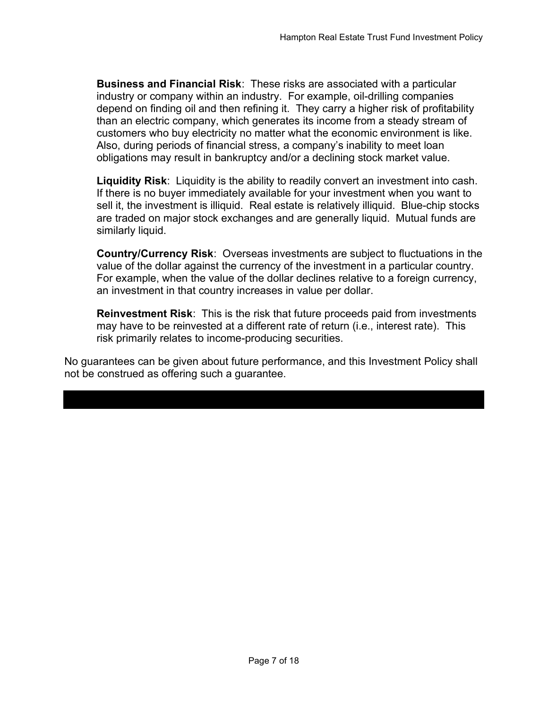Business and Financial Risk: These risks are associated with a particular industry or company within an industry. For example, oil-drilling companies depend on finding oil and then refining it. They carry a higher risk of profitability than an electric company, which generates its income from a steady stream of customers who buy electricity no matter what the economic environment is like. Also, during periods of financial stress, a company's inability to meet loan obligations may result in bankruptcy and/or a declining stock market value.

Liquidity Risk: Liquidity is the ability to readily convert an investment into cash. If there is no buyer immediately available for your investment when you want to sell it, the investment is illiquid. Real estate is relatively illiquid. Blue-chip stocks are traded on major stock exchanges and are generally liquid. Mutual funds are similarly liquid.

Country/Currency Risk: Overseas investments are subject to fluctuations in the value of the dollar against the currency of the investment in a particular country. For example, when the value of the dollar declines relative to a foreign currency, an investment in that country increases in value per dollar.

Reinvestment Risk: This is the risk that future proceeds paid from investments may have to be reinvested at a different rate of return (i.e., interest rate). This risk primarily relates to income-producing securities.

No guarantees can be given about future performance, and this Investment Policy shall not be construed as offering such a guarantee.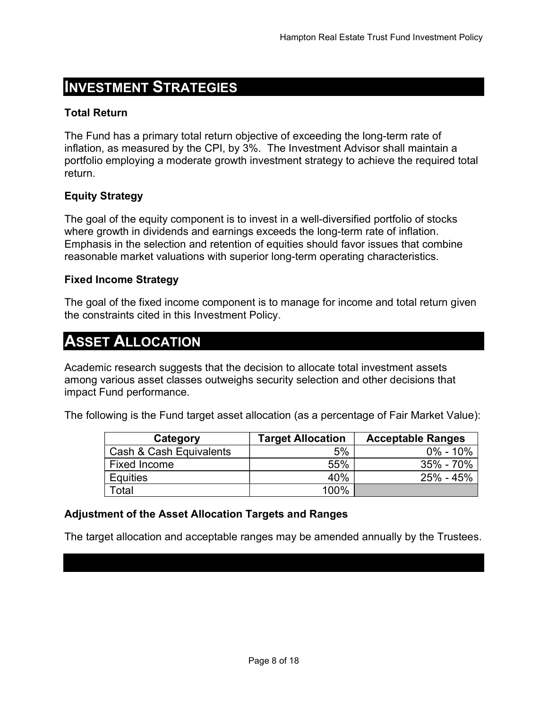# INVESTMENT STRATEGIES

### Total Return

The Fund has a primary total return objective of exceeding the long-term rate of inflation, as measured by the CPI, by 3%. The Investment Advisor shall maintain a portfolio employing a moderate growth investment strategy to achieve the required total return.

### Equity Strategy

The goal of the equity component is to invest in a well-diversified portfolio of stocks where growth in dividends and earnings exceeds the long-term rate of inflation. Emphasis in the selection and retention of equities should favor issues that combine reasonable market valuations with superior long-term operating characteristics.

### Fixed Income Strategy

The goal of the fixed income component is to manage for income and total return given the constraints cited in this Investment Policy.

# ASSET ALLOCATION

Academic research suggests that the decision to allocate total investment assets among various asset classes outweighs security selection and other decisions that impact Fund performance.

The following is the Fund target asset allocation (as a percentage of Fair Market Value):

| Category                | <b>Target Allocation</b> | <b>Acceptable Ranges</b> |
|-------------------------|--------------------------|--------------------------|
| Cash & Cash Equivalents | 5%                       | $0\% - 10\%$             |
| Fixed Income            | 55%                      | 35% - 70%                |
| <b>Equities</b>         | 40%                      | 25% - 45%                |
| Total                   | 100%                     |                          |

### Adjustment of the Asset Allocation Targets and Ranges

The target allocation and acceptable ranges may be amended annually by the Trustees.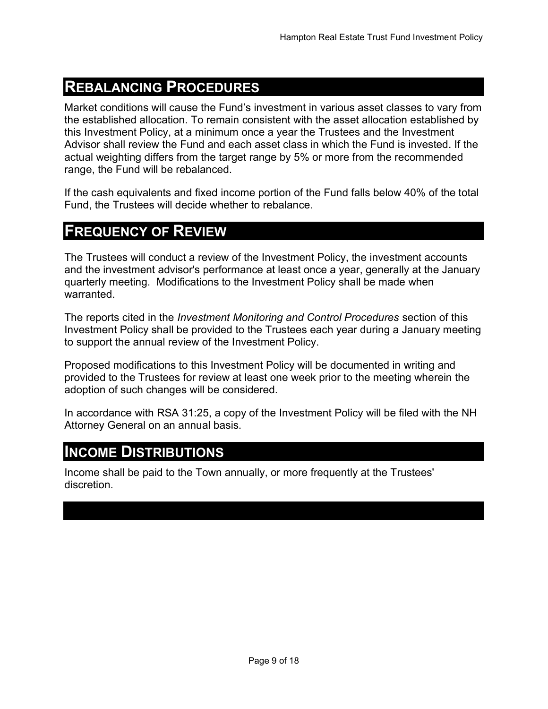# REBALANCING PROCEDURES

Market conditions will cause the Fund's investment in various asset classes to vary from the established allocation. To remain consistent with the asset allocation established by this Investment Policy, at a minimum once a year the Trustees and the Investment Advisor shall review the Fund and each asset class in which the Fund is invested. If the actual weighting differs from the target range by 5% or more from the recommended range, the Fund will be rebalanced.

If the cash equivalents and fixed income portion of the Fund falls below 40% of the total Fund, the Trustees will decide whether to rebalance.

# FREQUENCY OF REVIEW

The Trustees will conduct a review of the Investment Policy, the investment accounts and the investment advisor's performance at least once a year, generally at the January quarterly meeting. Modifications to the Investment Policy shall be made when warranted.

The reports cited in the Investment Monitoring and Control Procedures section of this Investment Policy shall be provided to the Trustees each year during a January meeting to support the annual review of the Investment Policy.

Proposed modifications to this Investment Policy will be documented in writing and provided to the Trustees for review at least one week prior to the meeting wherein the adoption of such changes will be considered.

In accordance with RSA 31:25, a copy of the Investment Policy will be filed with the NH Attorney General on an annual basis.

### INCOME DISTRIBUTIONS

Income shall be paid to the Town annually, or more frequently at the Trustees' discretion.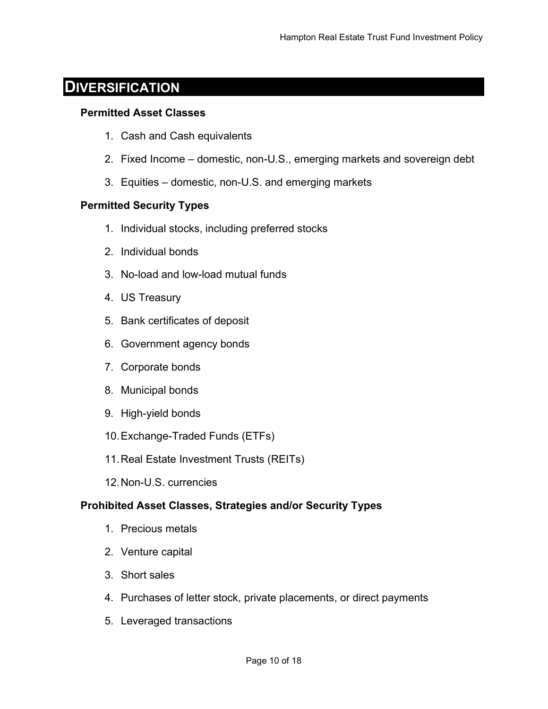### **DIVERSIFICATION**

#### Permitted Asset Classes

- 1. Cash and Cash equivalents
- 2. Fixed Income domestic, non-U.S., emerging markets and sovereign debt
- 3. Equities domestic, non-U.S. and emerging markets

### Permitted Security Types

- 1. Individual stocks, including preferred stocks
- 2. Individual bonds
- 3. No-load and low-load mutual funds
- 4. US Treasury
- 5. Bank certificates of deposit
- 6. Government agency bonds
- 7. Corporate bonds
- 8. Municipal bonds
- 9. High-yield bonds
- 10. Exchange-Traded Funds (ETFs)
- 11. Real Estate Investment Trusts (REITs)
- 12. Non-U.S. currencies

### Prohibited Asset Classes, Strategies and/or Security Types

- 1. Precious metals
- 2. Venture capital
- 3. Short sales
- 4. Purchases of letter stock, private placements, or direct payments
- 5. Leveraged transactions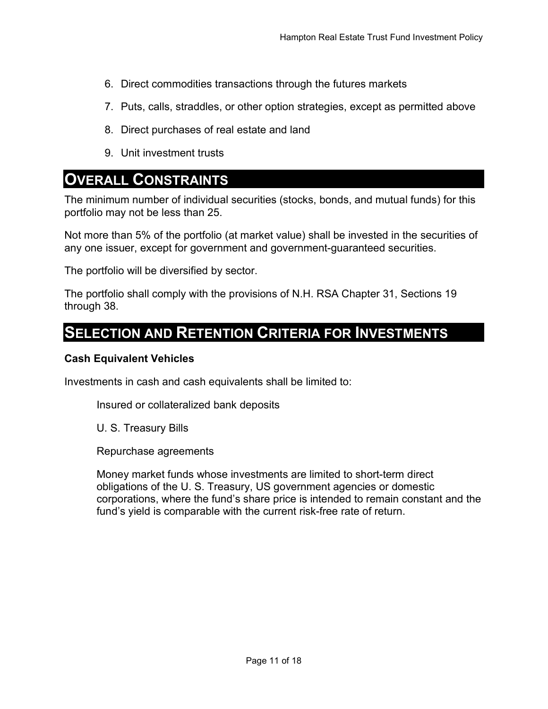- 6. Direct commodities transactions through the futures markets
- 7. Puts, calls, straddles, or other option strategies, except as permitted above
- 8. Direct purchases of real estate and land
- 9. Unit investment trusts

### OVERALL CONSTRAINTS

The minimum number of individual securities (stocks, bonds, and mutual funds) for this portfolio may not be less than 25.

Not more than 5% of the portfolio (at market value) shall be invested in the securities of any one issuer, except for government and government-guaranteed securities.

The portfolio will be diversified by sector.

The portfolio shall comply with the provisions of N.H. RSA Chapter 31, Sections 19 through 38.

### SELECTION AND RETENTION CRITERIA FOR INVESTMENTS

#### Cash Equivalent Vehicles

Investments in cash and cash equivalents shall be limited to:

Insured or collateralized bank deposits

U. S. Treasury Bills

Repurchase agreements

Money market funds whose investments are limited to short-term direct obligations of the U. S. Treasury, US government agencies or domestic corporations, where the fund's share price is intended to remain constant and the fund's yield is comparable with the current risk-free rate of return.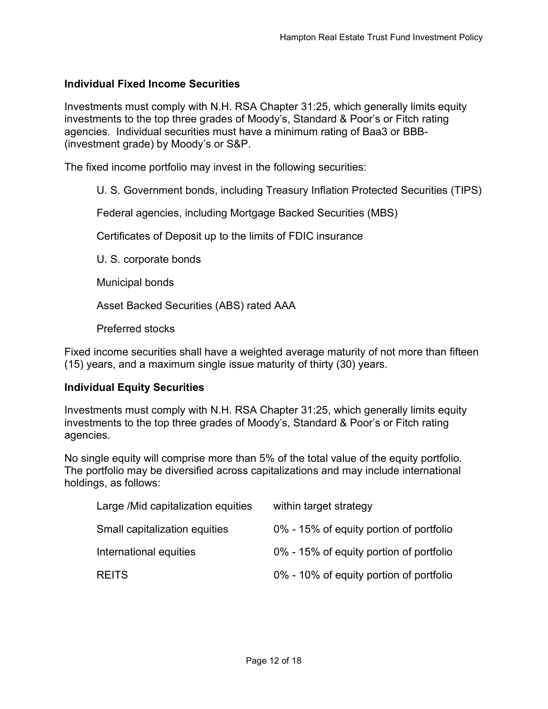### Individual Fixed Income Securities

Investments must comply with N.H. RSA Chapter 31:25, which generally limits equity investments to the top three grades of Moody's, Standard & Poor's or Fitch rating agencies. Individual securities must have a minimum rating of Baa3 or BBB- (investment grade) by Moody's or S&P.

The fixed income portfolio may invest in the following securities:

U. S. Government bonds, including Treasury Inflation Protected Securities (TIPS)

Federal agencies, including Mortgage Backed Securities (MBS)

Certificates of Deposit up to the limits of FDIC insurance

U. S. corporate bonds

Municipal bonds

Asset Backed Securities (ABS) rated AAA

Preferred stocks

Fixed income securities shall have a weighted average maturity of not more than fifteen (15) years, and a maximum single issue maturity of thirty (30) years.

#### Individual Equity Securities

Investments must comply with N.H. RSA Chapter 31:25, which generally limits equity investments to the top three grades of Moody's, Standard & Poor's or Fitch rating agencies.

No single equity will comprise more than 5% of the total value of the equity portfolio. The portfolio may be diversified across capitalizations and may include international holdings, as follows:

| Large / Mid capitalization equities | within target strategy                  |
|-------------------------------------|-----------------------------------------|
| Small capitalization equities       | 0% - 15% of equity portion of portfolio |
| International equities              | 0% - 15% of equity portion of portfolio |
| <b>REITS</b>                        | 0% - 10% of equity portion of portfolio |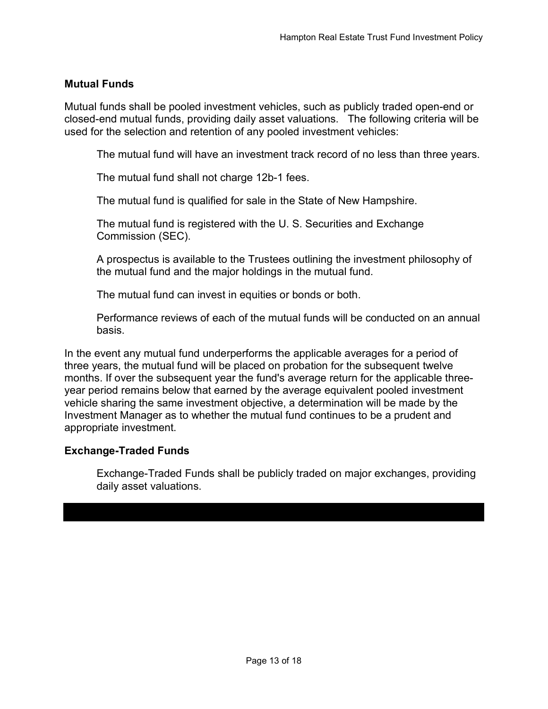### Mutual Funds

Mutual funds shall be pooled investment vehicles, such as publicly traded open-end or closed-end mutual funds, providing daily asset valuations. The following criteria will be used for the selection and retention of any pooled investment vehicles:

The mutual fund will have an investment track record of no less than three years.

The mutual fund shall not charge 12b-1 fees.

The mutual fund is qualified for sale in the State of New Hampshire.

The mutual fund is registered with the U. S. Securities and Exchange Commission (SEC).

A prospectus is available to the Trustees outlining the investment philosophy of the mutual fund and the major holdings in the mutual fund.

The mutual fund can invest in equities or bonds or both.

Performance reviews of each of the mutual funds will be conducted on an annual basis.

In the event any mutual fund underperforms the applicable averages for a period of three years, the mutual fund will be placed on probation for the subsequent twelve months. If over the subsequent year the fund's average return for the applicable threeyear period remains below that earned by the average equivalent pooled investment vehicle sharing the same investment objective, a determination will be made by the Investment Manager as to whether the mutual fund continues to be a prudent and appropriate investment.

#### Exchange-Traded Funds

Exchange-Traded Funds shall be publicly traded on major exchanges, providing daily asset valuations.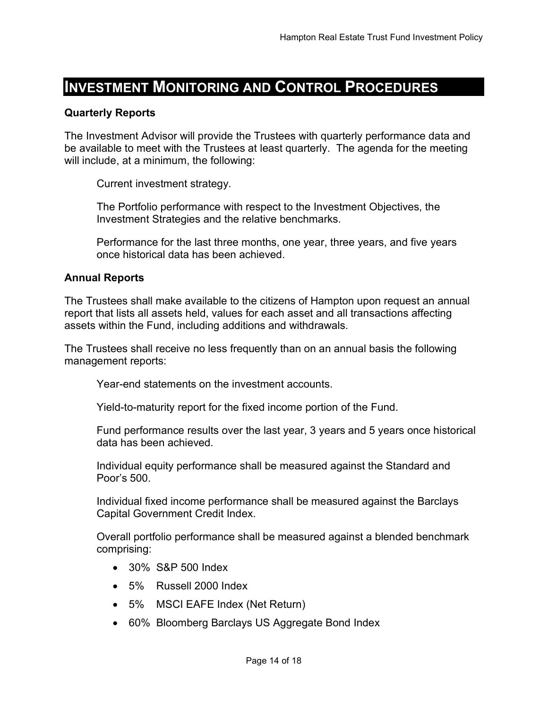# INVESTMENT MONITORING AND CONTROL PROCEDURES

#### Quarterly Reports

The Investment Advisor will provide the Trustees with quarterly performance data and be available to meet with the Trustees at least quarterly. The agenda for the meeting will include, at a minimum, the following:

Current investment strategy.

The Portfolio performance with respect to the Investment Objectives, the Investment Strategies and the relative benchmarks.

Performance for the last three months, one year, three years, and five years once historical data has been achieved.

#### Annual Reports

The Trustees shall make available to the citizens of Hampton upon request an annual report that lists all assets held, values for each asset and all transactions affecting assets within the Fund, including additions and withdrawals.

The Trustees shall receive no less frequently than on an annual basis the following management reports:

Year-end statements on the investment accounts.

Yield-to-maturity report for the fixed income portion of the Fund.

Fund performance results over the last year, 3 years and 5 years once historical data has been achieved.

Individual equity performance shall be measured against the Standard and Poor's 500.

Individual fixed income performance shall be measured against the Barclays Capital Government Credit Index.

Overall portfolio performance shall be measured against a blended benchmark comprising:

- 30% S&P 500 Index
- 5% Russell 2000 Index
- 5% MSCI EAFE Index (Net Return)
- 60% Bloomberg Barclays US Aggregate Bond Index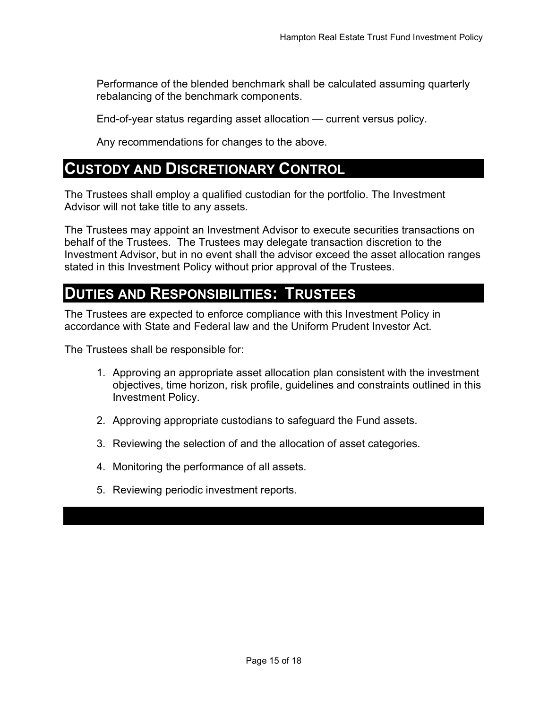Performance of the blended benchmark shall be calculated assuming quarterly rebalancing of the benchmark components.

End-of-year status regarding asset allocation — current versus policy.

Any recommendations for changes to the above.

### CUSTODY AND DISCRETIONARY CONTROL

The Trustees shall employ a qualified custodian for the portfolio. The Investment Advisor will not take title to any assets.

The Trustees may appoint an Investment Advisor to execute securities transactions on behalf of the Trustees. The Trustees may delegate transaction discretion to the Investment Advisor, but in no event shall the advisor exceed the asset allocation ranges stated in this Investment Policy without prior approval of the Trustees.

### DUTIES AND RESPONSIBILITIES: TRUSTEES

The Trustees are expected to enforce compliance with this Investment Policy in accordance with State and Federal law and the Uniform Prudent Investor Act.

The Trustees shall be responsible for:

- 1. Approving an appropriate asset allocation plan consistent with the investment objectives, time horizon, risk profile, guidelines and constraints outlined in this Investment Policy.
- 2. Approving appropriate custodians to safeguard the Fund assets.
- 3. Reviewing the selection of and the allocation of asset categories.
- 4. Monitoring the performance of all assets.
- 5. Reviewing periodic investment reports.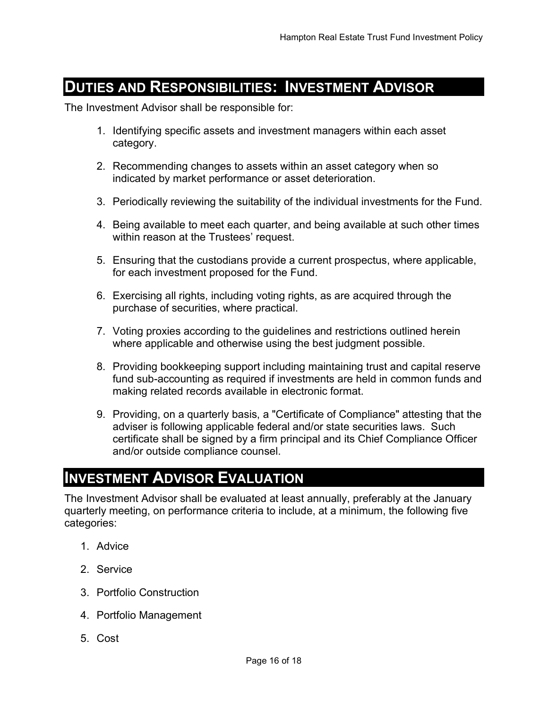# DUTIES AND RESPONSIBILITIES: INVESTMENT ADVISOR

The Investment Advisor shall be responsible for:

- 1. Identifying specific assets and investment managers within each asset category.
- 2. Recommending changes to assets within an asset category when so indicated by market performance or asset deterioration.
- 3. Periodically reviewing the suitability of the individual investments for the Fund.
- 4. Being available to meet each quarter, and being available at such other times within reason at the Trustees' request.
- 5. Ensuring that the custodians provide a current prospectus, where applicable, for each investment proposed for the Fund.
- 6. Exercising all rights, including voting rights, as are acquired through the purchase of securities, where practical.
- 7. Voting proxies according to the guidelines and restrictions outlined herein where applicable and otherwise using the best judgment possible.
- 8. Providing bookkeeping support including maintaining trust and capital reserve fund sub-accounting as required if investments are held in common funds and making related records available in electronic format.
- 9. Providing, on a quarterly basis, a "Certificate of Compliance" attesting that the adviser is following applicable federal and/or state securities laws. Such certificate shall be signed by a firm principal and its Chief Compliance Officer and/or outside compliance counsel.

### INVESTMENT ADVISOR EVALUATION

The Investment Advisor shall be evaluated at least annually, preferably at the January quarterly meeting, on performance criteria to include, at a minimum, the following five categories:

- 1. Advice
- 2. Service
- 3. Portfolio Construction
- 4. Portfolio Management
- 5. Cost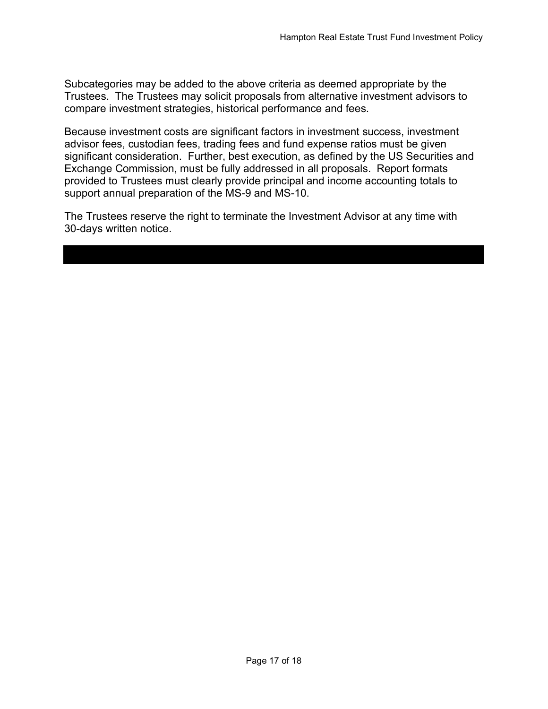Subcategories may be added to the above criteria as deemed appropriate by the Trustees. The Trustees may solicit proposals from alternative investment advisors to compare investment strategies, historical performance and fees.

Because investment costs are significant factors in investment success, investment advisor fees, custodian fees, trading fees and fund expense ratios must be given significant consideration. Further, best execution, as defined by the US Securities and Exchange Commission, must be fully addressed in all proposals. Report formats provided to Trustees must clearly provide principal and income accounting totals to support annual preparation of the MS-9 and MS-10.

The Trustees reserve the right to terminate the Investment Advisor at any time with 30-days written notice.